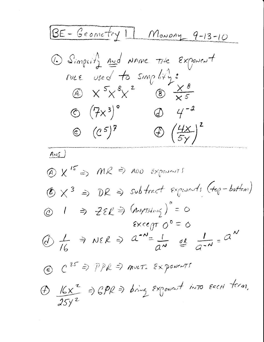<u>BE-Geometry 11 Monomy 9-13-10</u> 1 Simplify and NAME THE Exponent ruce used to simplify:<br>
A  $x^5x^8x^2$  B  $\frac{x^8}{x^5}$  $\circled{ } (\frac{7}{7})^{\circ}$   $\circled{ } 4^{-2}$  $\circledcirc$   $(c^5)^7$   $\circledcirc$   $\left(\frac{4x}{5y}\right)^2$  $Ans.$  $\textcircled{A}$  X<sup>15</sup>  $\Rightarrow$  MR  $\Rightarrow$  NDO Exponents  $\bigcirc \times^3 \Rightarrow \neg$  DR  $\Rightarrow$  subtract exposants (top-bottom)  $\circledcirc$  1 => ZER => (ANYTHING)° = 0  $\epsilon \times c$ egr  $0^{\circ} = 0$  $\circledA$   $\neq$   $\Rightarrow$   $\circledA$   $\Rightarrow$   $\circledA$   $\circledA$   $\Rightarrow$   $\circledA$   $\circledA$   $\Rightarrow$   $\circledA$   $\circledA$ @ C35 => PPR => mut. Exponents  $\bigoplus \frac{16x^2}{25x^2}$  =>  $\bigoplus P\bigoplus$  => bring Exponent into Each term.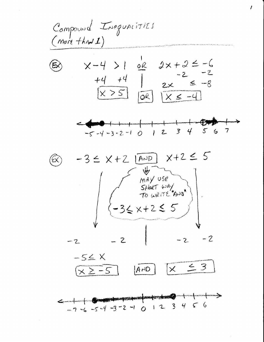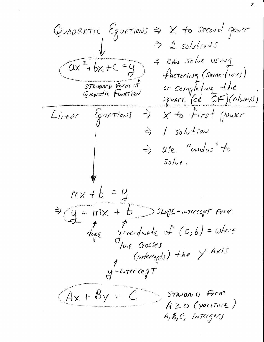QUADRATIC Equations  $\Rightarrow$  X to second power  $\Rightarrow$  2 solutions = CAN solve using  $ax^2+bx+c=9$ factoring (some fines) STANDARD Form of or completing the Square (OR OF) (Always) Linear Equations =>  $x$  to first power  $1$  solution  $\Rightarrow$ use "undos" to  $\Rightarrow$  $Solve.$  $mx + b = y$  $\Rightarrow q = mx + b$  Slope-wrecept Form  $\mathcal{A}_{\text{opt}}$  groondwate of  $(o, b) = \omega$ here Int Crosses (intercepts) the Y Axis  $y$ -wrecepT  $A_x + B_y = C$ STANDARD FORM  $A \geq o$  (positive) A, B, C, INTERGERS

 $\mathcal{Z}_{\lambda}$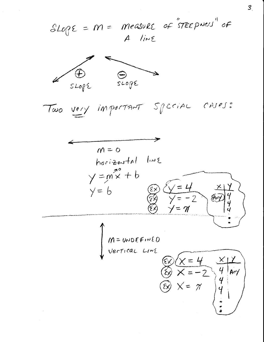$S L_{0} \rho \varepsilon = m =$  measure of "STEEPNers" of A line



Two very important special cases:

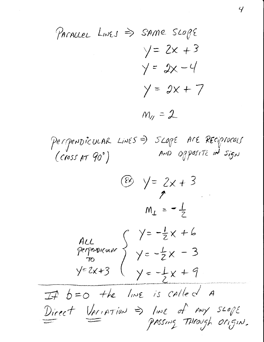PACALLEL LINES => SAME SLOPE  $y = 2x + 3$  $y = 2x - 4$  $y = 2x + 7$  $M_{11} = 2$ Perpendicular Lines => SLOPE Are REciprocals  $(cross AT 90<sup>o</sup>)$  $\circ \frac{1}{2} \times 3$  $M_{\perp} = -\frac{1}{2}$ ALL<br>Perparoicum  $\begin{cases} y=-\frac{1}{2}x+6 \\ y=\frac{1}{2}x-3 \\ y=2x+3 \end{cases}$  $\begin{array}{ccc}\n\mathbb{I} & \mathbb{A} & \mathbb{A} & \mathbb{A} & \mathbb{A} & \mathbb{A} \\
\mathbb{I} & \mathbb{A} & \mathbb{A} & \mathbb{A} & \mathbb{A} & \mathbb{A} \\
\mathbb{I} & \mathbb{A} & \mathbb{A} & \mathbb{A} & \mathbb{A} \\
\mathbb{I} & \mathbb{A} & \mathbb{A} & \mathbb{A} & \mathbb{A} \\
\mathbb{I} & \mathbb{A} & \mathbb{A} & \mathbb{A} & \mathbb{A} \\
\mathbb{I} & \mathbb{A} & \mathbb{I} & \math$ Direct Variation => line of my scope

 $\mathcal{L}$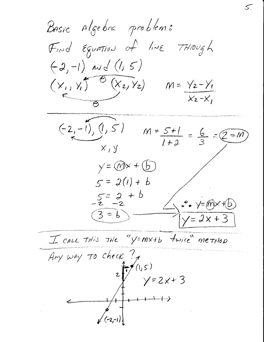Basic Algebra problems Find Equation of live THough  $(-2,-1)$  and  $(1,5)$  $(x_1, y_1^{\prime})^{\circ} (x_2, y_2)$   $m = y_2 - y_1$  $X_2-X_1$  $(-2,-1), (1,5)$  $M = \frac{5+1}{1+2} = \frac{6}{3} = \underbrace{2=m}_{1}$  $X, Y$  $y = \textcircled{m}x + \textcircled{b}$  $5 = 2(1) + b$  $5z^2+6$ <br>-2 -2  $\cdot \circ$   $\sqrt{=(n)} \times$   $+$  $(3-6)$  $y = 2x + 3$ I call THis THE "Y=MX+b fwice" method  $\frac{L}{Ary}$  way to check ?  $Y=2x+3$ 

5.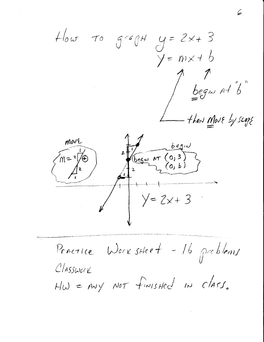$y = 2x + 3$  $How To get 94$  $m \times 16$  $\prime$   $\equiv$  $\int\limits_{-\infty}^{\infty} \frac{1}{\sqrt{2\pi}}\,e^{-\frac{1}{2}x}dx$ - then Move by scope move  $m = 2$  $y = 2x + 3$ Practice WorksHeet - 16 problems CLASSWORK  $H\omega = \mu v y$  NOT finished in class.